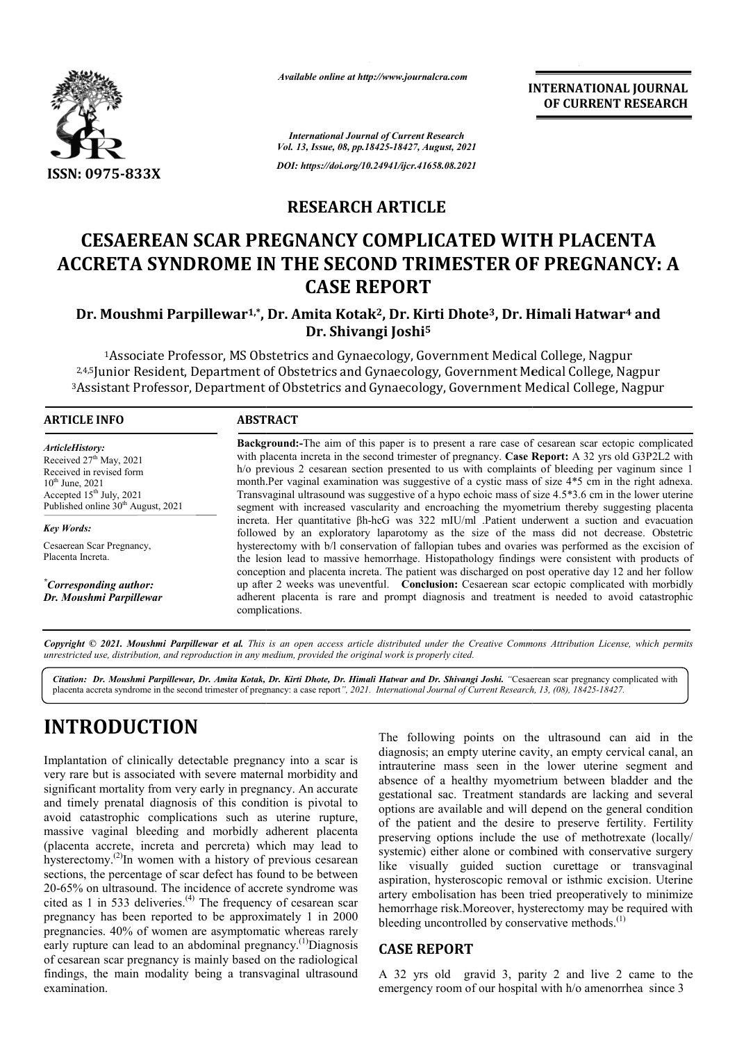

*Available online at http://www.journalcra.com*

### **RESEARCH ARTICLE**

# **CESAEREAN SCAR PREGNANCY COMPLICATED WITH PLACENTA ACCRETA SYNDROME IN THE SECOND TRIMESTER OF PREGNANCY: A CASE REPORT**

#### Dr. Moushmi Parpillewar<sup>1,\*</sup>, Dr. Amita Kotak<sup>2</sup>, Dr. Kirti Dhote<sup>3</sup>, Dr. Himali Hatwar<sup>4</sup> and **Dr. Shivangi Joshi5**

| <b>International Journal of Current Research</b><br>Vol. 13, Issue, 08, pp.18425-18427, August, 2021                                                                                                                                                                                                                                                                                                                                                                                                                                                                                                                                                                                                                                                                                                                                                                                                                                                                                                                                                                                                                                                                                                                                                                                                                                                                                                                                                                                                                                                                                                                                                                                                                                                                                                                                                                                                                                                                                                                                                                                                                                                                |
|---------------------------------------------------------------------------------------------------------------------------------------------------------------------------------------------------------------------------------------------------------------------------------------------------------------------------------------------------------------------------------------------------------------------------------------------------------------------------------------------------------------------------------------------------------------------------------------------------------------------------------------------------------------------------------------------------------------------------------------------------------------------------------------------------------------------------------------------------------------------------------------------------------------------------------------------------------------------------------------------------------------------------------------------------------------------------------------------------------------------------------------------------------------------------------------------------------------------------------------------------------------------------------------------------------------------------------------------------------------------------------------------------------------------------------------------------------------------------------------------------------------------------------------------------------------------------------------------------------------------------------------------------------------------------------------------------------------------------------------------------------------------------------------------------------------------------------------------------------------------------------------------------------------------------------------------------------------------------------------------------------------------------------------------------------------------------------------------------------------------------------------------------------------------|
| DOI: https://doi.org/10.24941/ijcr.41658.08.2021                                                                                                                                                                                                                                                                                                                                                                                                                                                                                                                                                                                                                                                                                                                                                                                                                                                                                                                                                                                                                                                                                                                                                                                                                                                                                                                                                                                                                                                                                                                                                                                                                                                                                                                                                                                                                                                                                                                                                                                                                                                                                                                    |
| <b>RESEARCH ARTICLE</b>                                                                                                                                                                                                                                                                                                                                                                                                                                                                                                                                                                                                                                                                                                                                                                                                                                                                                                                                                                                                                                                                                                                                                                                                                                                                                                                                                                                                                                                                                                                                                                                                                                                                                                                                                                                                                                                                                                                                                                                                                                                                                                                                             |
| <b>CESAEREAN SCAR PREGNANCY COMPLICATED WITH PLACENTA</b><br>ACCRETA SYNDROME IN THE SECOND TRIMESTER OF PREGNANCY: A<br><b>CASE REPORT</b>                                                                                                                                                                                                                                                                                                                                                                                                                                                                                                                                                                                                                                                                                                                                                                                                                                                                                                                                                                                                                                                                                                                                                                                                                                                                                                                                                                                                                                                                                                                                                                                                                                                                                                                                                                                                                                                                                                                                                                                                                         |
| Dr. Moushmi Parpillewar <sup>1,*</sup> , Dr. Amita Kotak <sup>2</sup> , Dr. Kirti Dhote <sup>3</sup> , Dr. Himali Hatwar <sup>4</sup> and<br>Dr. Shivangi Joshi <sup>5</sup>                                                                                                                                                                                                                                                                                                                                                                                                                                                                                                                                                                                                                                                                                                                                                                                                                                                                                                                                                                                                                                                                                                                                                                                                                                                                                                                                                                                                                                                                                                                                                                                                                                                                                                                                                                                                                                                                                                                                                                                        |
| <sup>1</sup> Associate Professor, MS Obstetrics and Gynaecology, Government Medical College, Nagpur<br>2,4,5 Junior Resident, Department of Obstetrics and Gynaecology, Government Medical College, Nagpur<br>3Assistant Professor, Department of Obstetrics and Gynaecology, Government Medical College, Nagpur                                                                                                                                                                                                                                                                                                                                                                                                                                                                                                                                                                                                                                                                                                                                                                                                                                                                                                                                                                                                                                                                                                                                                                                                                                                                                                                                                                                                                                                                                                                                                                                                                                                                                                                                                                                                                                                    |
|                                                                                                                                                                                                                                                                                                                                                                                                                                                                                                                                                                                                                                                                                                                                                                                                                                                                                                                                                                                                                                                                                                                                                                                                                                                                                                                                                                                                                                                                                                                                                                                                                                                                                                                                                                                                                                                                                                                                                                                                                                                                                                                                                                     |
| Background:-The aim of this paper is to present a rare case of cesarean scar ectopic complicated<br>with placenta increta in the second trimester of pregnancy. Case Report: A 32 yrs old G3P2L2 with<br>h/o previous 2 cesarean section presented to us with complaints of bleeding per vaginum since 1<br>month.Per vaginal examination was suggestive of a cystic mass of size 4*5 cm in the right adnexa.<br>Transvaginal ultrasound was suggestive of a hypo echoic mass of size 4.5*3.6 cm in the lower uterine<br>segment with increased vascularity and encroaching the myometrium thereby suggesting placenta<br>increta. Her quantitative $\beta h$ -hcG was 322 mIU/ml .Patient underwent a suction and evacuation<br>followed by an exploratory laparotomy as the size of the mass did not decrease. Obstetric<br>hysterectomy with b/l conservation of fallopian tubes and ovaries was performed as the excision of<br>the lesion lead to massive hemorrhage. Histopathology findings were consistent with products of<br>conception and placenta increta. The patient was discharged on post operative day 12 and her follow<br>up after 2 weeks was uneventful. Conclusion: Cesaerean scar ectopic complicated with morbidly<br>adherent placenta is rare and prompt diagnosis and treatment is needed to avoid catastrophic                                                                                                                                                                                                                                                                                                                                                                                                                                                                                                                                                                                                                                                                                                                                                                                                                         |
| Copyright © 2021. Moushmi Parpillewar et al. This is an open access article distributed under the Creative Commons Attribution License, which permits<br>unrestricted use, distribution, and reproduction in any medium, provided the original work is properly cited.                                                                                                                                                                                                                                                                                                                                                                                                                                                                                                                                                                                                                                                                                                                                                                                                                                                                                                                                                                                                                                                                                                                                                                                                                                                                                                                                                                                                                                                                                                                                                                                                                                                                                                                                                                                                                                                                                              |
| Citation: Dr. Moushmi Parpillewar, Dr. Amita Kotak, Dr. Kirti Dhote, Dr. Himali Hatwar and Dr. Shivangi Joshi. "Cesaerean scar pregnancy complicated with<br>placenta accreta syndrome in the second trimester of pregnancy: a case report", 2021. International Journal of Current Research, 13, (08), 18425-18427.                                                                                                                                                                                                                                                                                                                                                                                                                                                                                                                                                                                                                                                                                                                                                                                                                                                                                                                                                                                                                                                                                                                                                                                                                                                                                                                                                                                                                                                                                                                                                                                                                                                                                                                                                                                                                                                |
| The following points on the ultrasound can aid in the<br>diagnosis; an empty uterine cavity, an empty cervical canal, an<br>Implantation of clinically detectable pregnancy into a scar is<br>intrauterine mass seen in the lower uterine segment and<br>very rare but is associated with severe maternal morbidity and<br>absence of a healthy myometrium between bladder and the<br>significant mortality from very early in pregnancy. An accurate<br>gestational sac. Treatment standards are lacking and several<br>and timely prenatal diagnosis of this condition is pivotal to<br>options are available and will depend on the general condition<br>avoid catastrophic complications such as uterine rupture,<br>of the patient and the desire to preserve fertility. Fertility<br>massive vaginal bleeding and morbidly adherent placenta<br>preserving options include the use of methotrexate (locally/<br>(placenta accrete, increta and percreta) which may lead to<br>systemic) either alone or combined with conservative surgery<br>hysterectomy. <sup>(2)</sup> In women with a history of previous cesarean<br>like visually guided suction curettage or transvaginal<br>sections, the percentage of scar defect has found to be between<br>aspiration, hysteroscopic removal or isthmic excision. Uterine<br>20-65% on ultrasound. The incidence of accrete syndrome was<br>artery embolisation has been tried preoperatively to minimize<br>cited as 1 in 533 deliveries. <sup>(4)</sup> The frequency of cesarean scar<br>hemorrhage risk. Moreover, hysterectomy may be required with<br>pregnancy has been reported to be approximately 1 in 2000<br>bleeding uncontrolled by conservative methods. <sup>(1)</sup><br>pregnancies. 40% of women are asymptomatic whereas rarely<br>early rupture can lead to an abdominal pregnancy. <sup>(1)</sup> Diagnosis<br><b>CASE REPORT</b><br>of cesarean scar pregnancy is mainly based on the radiological<br>findings, the main modality being a transvaginal ultrasound<br>A 32 yrs old gravid 3, parity 2 and live 2 came to the<br>emergency room of our hospital with h/o amenorrhea since 3 |
|                                                                                                                                                                                                                                                                                                                                                                                                                                                                                                                                                                                                                                                                                                                                                                                                                                                                                                                                                                                                                                                                                                                                                                                                                                                                                                                                                                                                                                                                                                                                                                                                                                                                                                                                                                                                                                                                                                                                                                                                                                                                                                                                                                     |

# **INTRODUCTION**

#### **CASE REPORT**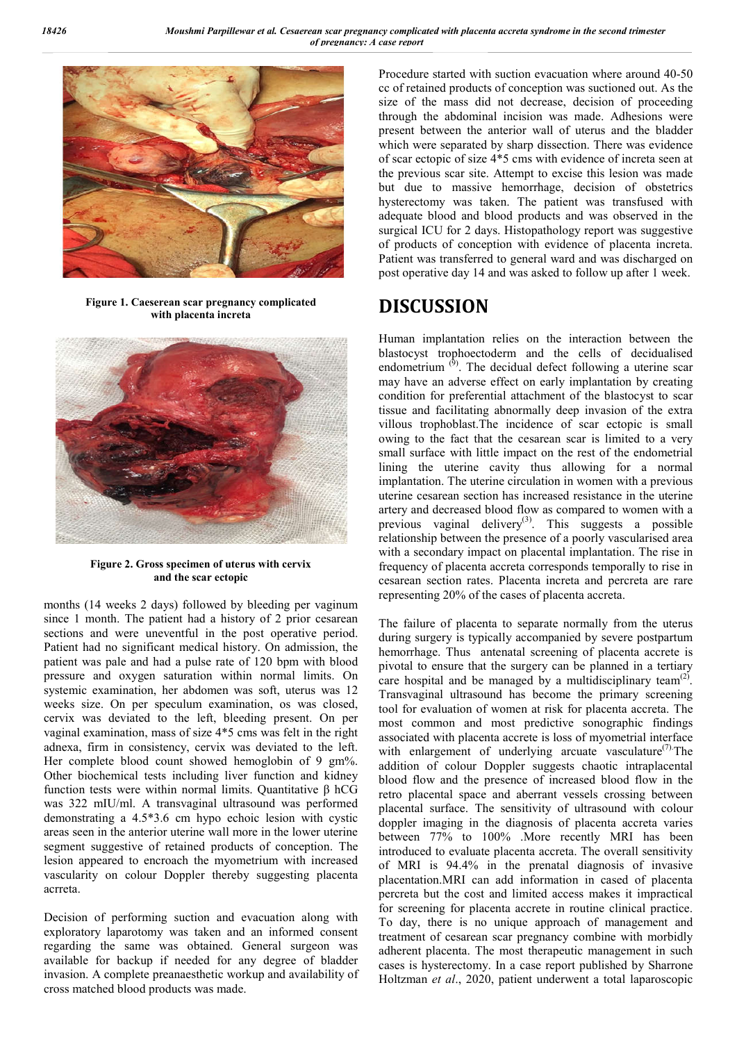

**Figure 1. Caeserean scar pregnancy complicated with placenta increta**



**Figure 2. Gross specimen of uterus with cervix and the scar ectopic**

months (14 weeks 2 days) followed by bleeding per vaginum since 1 month. The patient had a history of 2 prior cesarean sections and were uneventful in the post operative period. Patient had no significant medical history. On admission, the patient was pale and had a pulse rate of 120 bpm with blood pressure and oxygen saturation within normal limits. On systemic examination, her abdomen was soft, uterus was 12 weeks size. On per speculum examination, os was closed, cervix was deviated to the left, bleeding present. On per vaginal examination, mass of size 4\*5 cms was felt in the right adnexa, firm in consistency, cervix was deviated to the left. Her complete blood count showed hemoglobin of 9 gm%. Other biochemical tests including liver function and kidney function tests were within normal limits. Quantitative β hCG was 322 mIU/ml. A transvaginal ultrasound was performed demonstrating a 4.5\*3.6 cm hypo echoic lesion with cystic areas seen in the anterior uterine wall more in the lower uterine segment suggestive of retained products of conception. The lesion appeared to encroach the myometrium with increased vascularity on colour Doppler thereby suggesting placenta acrreta.

Decision of performing suction and evacuation along with exploratory laparotomy was taken and an informed consent regarding the same was obtained. General surgeon was available for backup if needed for any degree of bladder invasion. A complete preanaesthetic workup and availability of cross matched blood products was made.

Procedure started with suction evacuation where around 40-50 cc of retained products of conception was suctioned out. As the size of the mass did not decrease, decision of proceeding through the abdominal incision was made. Adhesions were present between the anterior wall of uterus and the bladder which were separated by sharp dissection. There was evidence of scar ectopic of size 4\*5 cms with evidence of increta seen at the previous scar site. Attempt to excise this lesion was made but due to massive hemorrhage, decision of obstetrics hysterectomy was taken. The patient was transfused with adequate blood and blood products and was observed in the surgical ICU for 2 days. Histopathology report was suggestive of products of conception with evidence of placenta increta. Patient was transferred to general ward and was discharged on post operative day 14 and was asked to follow up after 1 week.

## **DISCUSSION**

Human implantation relies on the interaction between the blastocyst trophoectoderm and the cells of decidualised endometrium  $^{(9)}$ . The decidual defect following a uterine scar may have an adverse effect on early implantation by creating condition for preferential attachment of the blastocyst to scar tissue and facilitating abnormally deep invasion of the extra villous trophoblast.The incidence of scar ectopic is small owing to the fact that the cesarean scar is limited to a very small surface with little impact on the rest of the endometrial lining the uterine cavity thus allowing for a normal implantation. The uterine circulation in women with a previous uterine cesarean section has increased resistance in the uterine artery and decreased blood flow as compared to women with a previous vaginal delivery<sup>(3)</sup>. This suggests a possible relationship between the presence of a poorly vascularised area with a secondary impact on placental implantation. The rise in frequency of placenta accreta corresponds temporally to rise in cesarean section rates. Placenta increta and percreta are rare representing 20% of the cases of placenta accreta.

The failure of placenta to separate normally from the uterus during surgery is typically accompanied by severe postpartum hemorrhage. Thus antenatal screening of placenta accrete is pivotal to ensure that the surgery can be planned in a tertiary care hospital and be managed by a multidisciplinary team<sup>(2)</sup>. Transvaginal ultrasound has become the primary screening tool for evaluation of women at risk for placenta accreta. The most common and most predictive sonographic findings associated with placenta accrete is loss of myometrial interface with enlargement of underlying arcuate vasculature<sup>(7)</sup>. The addition of colour Doppler suggests chaotic intraplacental blood flow and the presence of increased blood flow in the retro placental space and aberrant vessels crossing between placental surface. The sensitivity of ultrasound with colour doppler imaging in the diagnosis of placenta accreta varies between 77% to 100% .More recently MRI has been introduced to evaluate placenta accreta. The overall sensitivity of MRI is 94.4% in the prenatal diagnosis of invasive placentation.MRI can add information in cased of placenta percreta but the cost and limited access makes it impractical for screening for placenta accrete in routine clinical practice. To day, there is no unique approach of management and treatment of cesarean scar pregnancy combine with morbidly adherent placenta. The most therapeutic management in such cases is hysterectomy. In a case report published by Sharrone Holtzman *et al*., 2020, patient underwent a total laparoscopic